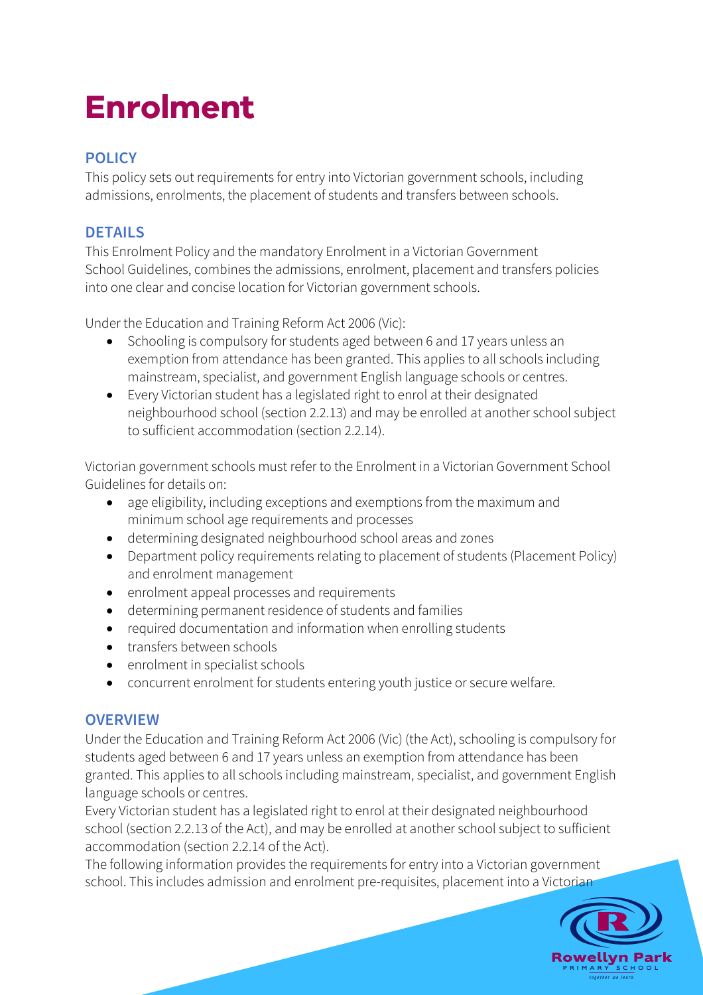# **Enrolment**

# **POLICY**

This policy sets out requirements for entry into Victorian government schools, including admissions, enrolments, the placement of students and transfers between schools.

## **DETAILS**

This Enrolment Policy and the mandatory Enrolment in a Victorian Government School Guidelines, combines the admissions, enrolment, placement and transfers policies into one clear and concise location for Victorian government schools.

Under the Education and Training Reform Act 2006 (Vic):

- Schooling is compulsory for students aged between 6 and 17 years unless an exemption from attendance has been granted. This applies to all schools including mainstream, specialist, and government English language schools or centres.
- Every Victorian student has a legislated right to enrol at their designated neighbourhood school (section 2.2.13) and may be enrolled at another school subject to sufficient accommodation (section 2.2.14).

Victorian government schools must refer to the Enrolment in a Victorian Government School Guidelines for details on:

- age eligibility, including exceptions and exemptions from the maximum and minimum school age requirements and processes
- determining designated neighbourhood school areas and zones
- Department policy requirements relating to placement of students (Placement Policy) and enrolment management
- enrolment appeal processes and requirements
- determining permanent residence of students and families
- required documentation and information when enrolling students
- transfers between schools
- enrolment in specialist schools
- concurrent enrolment for students entering youth justice or secure welfare.

## **OVERVIEW**

Under the Education and Training Reform Act 2006 (Vic) (the Act), schooling is compulsory for students aged between 6 and 17 years unless an exemption from attendance has been granted. This applies to all schools including mainstream, specialist, and government English language schools or centres.

Every Victorian student has a legislated right to enrol at their designated neighbourhood school (section 2.2.13 of the Act), and may be enrolled at another school subject to sufficient accommodation (section 2.2.14 of the Act).

The following information provides the requirements for entry into a Victorian government school. This includes admission and enrolment pre-requisites, placement into a Victorian

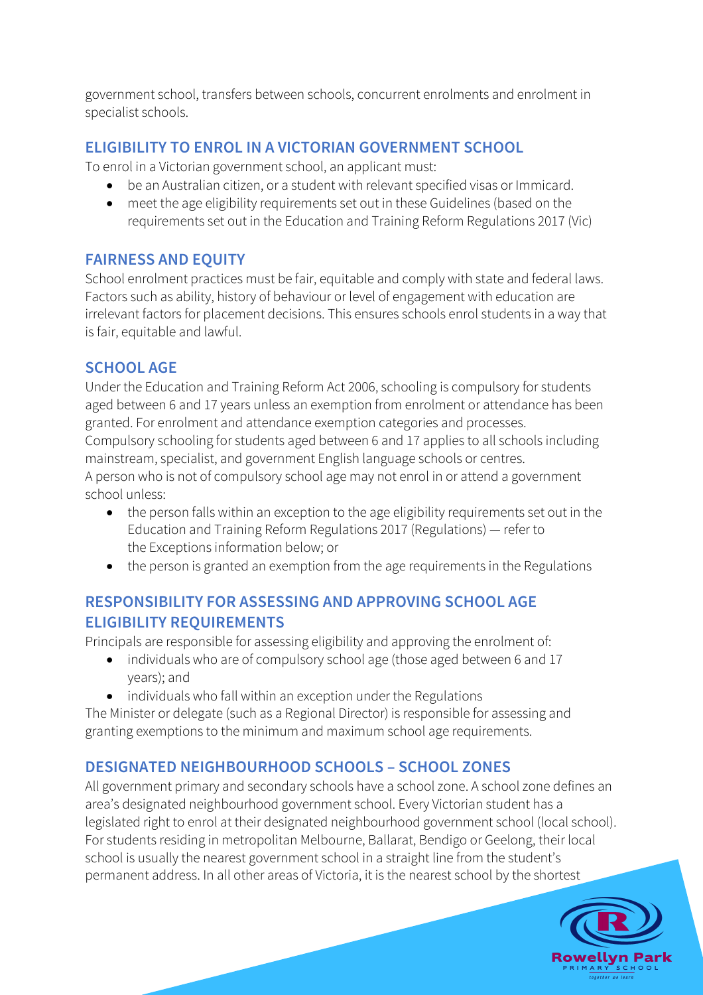government school, transfers between schools, concurrent enrolments and enrolment in specialist schools.

## **ELIGIBILITY TO ENROL IN A VICTORIAN GOVERNMENT SCHOOL**

To enrol in a Victorian government school, an applicant must:

- be an Australian citizen, or a student with relevant specified visas or Immicard.
- meet the age eligibility requirements set out in these Guidelines (based on the requirements set out in the Education and Training Reform Regulations 2017 (Vic)

#### **FAIRNESS AND EQUITY**

School enrolment practices must be fair, equitable and comply with state and federal laws. Factors such as ability, history of behaviour or level of engagement with education are irrelevant factors for placement decisions. This ensures schools enrol students in a way that is fair, equitable and lawful.

## **SCHOOL AGE**

Under the Education and Training Reform Act 2006, schooling is compulsory for students aged between 6 and 17 years unless an exemption from enrolment or attendance has been granted. For enrolment and attendance exemption categories and processes. Compulsory schooling for students aged between 6 and 17 applies to all schools including mainstream, specialist, and government English language schools or centres. A person who is not of compulsory school age may not enrol in or attend a government school unless:

- the person falls within an exception to the age eligibility requirements set out in the Education and Training Reform Regulations 2017 (Regulations) — refer to the Exceptions information below; or
- the person is granted an exemption from the age requirements in the Regulations

## **RESPONSIBILITY FOR ASSESSING AND APPROVING SCHOOL AGE ELIGIBILITY REQUIREMENTS**

Principals are responsible for assessing eligibility and approving the enrolment of:

- individuals who are of compulsory school age (those aged between 6 and 17 years); and
- individuals who fall within an exception under the Regulations

The Minister or delegate (such as a Regional Director) is responsible for assessing and granting exemptions to the minimum and maximum school age requirements.

## **DESIGNATED NEIGHBOURHOOD SCHOOLS – SCHOOL ZONES**

All government primary and secondary schools have a school zone. A school zone defines an area's designated neighbourhood government school. Every Victorian student has a legislated right to enrol at their designated neighbourhood government school (local school). For students residing in metropolitan Melbourne, Ballarat, Bendigo or Geelong, their local school is usually the nearest government school in a straight line from the student's permanent address. In all other areas of Victoria, it is the nearest school by the shortest

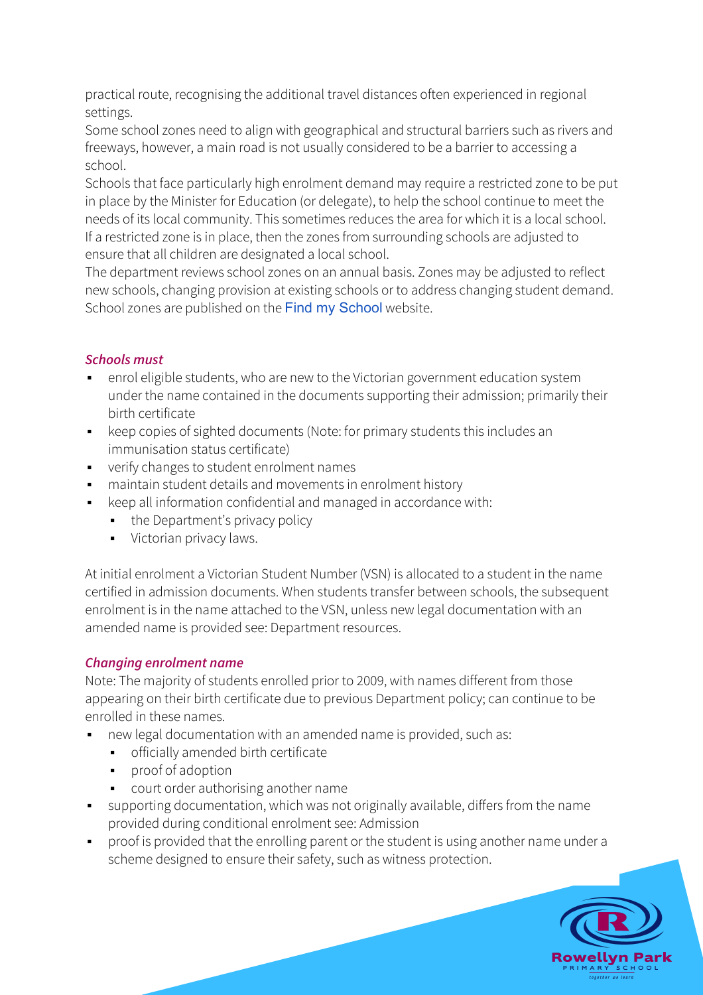practical route, recognising the additional travel distances often experienced in regional settings.

Some school zones need to align with geographical and structural barriers such as rivers and freeways, however, a main road is not usually considered to be a barrier to accessing a school.

Schools that face particularly high enrolment demand may require a restricted zone to be put in place by the Minister for Education (or delegate), to help the school continue to meet the needs of its local community. This sometimes reduces the area for which it is a local school. If a restricted zone is in place, then the zones from surrounding schools are adjusted to ensure that all children are designated a local school.

The department reviews school zones on an annual basis. Zones may be adjusted to reflect new schools, changing provision at existing schools or to address changing student demand. School zones are published on the Find my School website.

#### *Schools must*

- enrol eligible students, who are new to the Victorian government education system under the name contained in the documents supporting their admission; primarily their birth certificate
- keep copies of sighted documents (Note: for primary students this includes an immunisation status certificate)
- § verify changes to student enrolment names
- maintain student details and movements in enrolment history
- keep all information confidential and managed in accordance with:
	- the Department's privacy policy
	- **•** Victorian privacy laws.

At initial enrolment a Victorian Student Number (VSN) is allocated to a student in the name certified in admission documents. When students transfer between schools, the subsequent enrolment is in the name attached to the VSN, unless new legal documentation with an amended name is provided see: Department resources.

#### *Changing enrolment name*

Note: The majority of students enrolled prior to 2009, with names different from those appearing on their birth certificate due to previous Department policy; can continue to be enrolled in these names.

- new legal documentation with an amended name is provided, such as:
	- **•** officially amended birth certificate
	- proof of adoption
	- § court order authorising another name
- supporting documentation, which was not originally available, differs from the name provided during conditional enrolment see: Admission
- proof is provided that the enrolling parent or the student is using another name under a scheme designed to ensure their safety, such as witness protection.

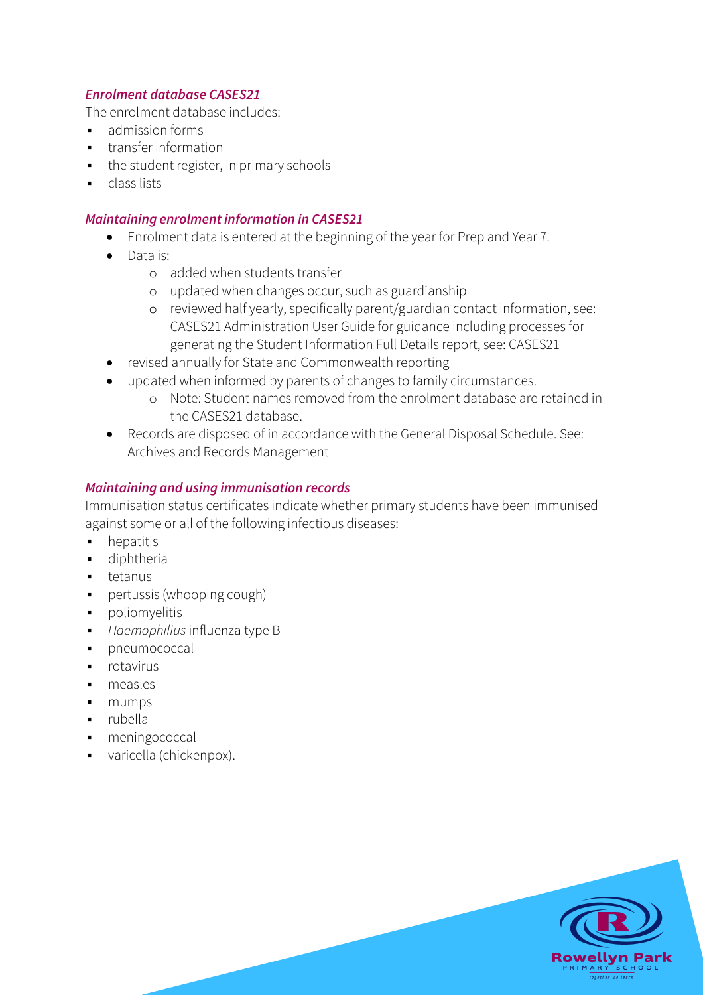#### *Enrolment database CASES21*

The enrolment database includes:

- admission forms
- transfer information
- the student register, in primary schools
- class lists

#### *Maintaining enrolment information in CASES21*

- Enrolment data is entered at the beginning of the year for Prep and Year 7.
- Data is:
	- o added when students transfer
	- o updated when changes occur, such as guardianship
	- o reviewed half yearly, specifically parent/guardian contact information, see: CASES21 Administration User Guide for guidance including processes for generating the Student Information Full Details report, see: CASES21
- revised annually for State and Commonwealth reporting
- updated when informed by parents of changes to family circumstances.
	- o Note: Student names removed from the enrolment database are retained in the CASES21 database.
- Records are disposed of in accordance with the General Disposal Schedule. See: Archives and Records Management

#### *Maintaining and using immunisation records*

Immunisation status certificates indicate whether primary students have been immunised against some or all of the following infectious diseases:

- hepatitis
- diphtheria
- tetanus
- **•** pertussis (whooping cough)
- § poliomyelitis
- § *Haemophilius* influenza type B
- § pneumococcal
- § rotavirus
- § measles
- § mumps
- § rubella
- meningococcal
- § varicella (chickenpox).